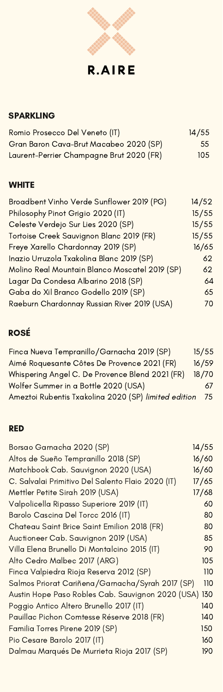

## SPARKLING

| Romio Prosecco Del Veneto (IT)           | 14/55            |
|------------------------------------------|------------------|
| Gran Baron Cava-Brut Macabeo 2020 (SP)   | 55               |
| Laurent-Perrier Champagne Brut 2020 (FR) | 105 <sub>1</sub> |

### **WHITE**

| Broadbent Vinho Verde Sunflower 2019 (PG)      | 14/52 |
|------------------------------------------------|-------|
| Philosophy Pinot Grigio 2020 (IT)              | 15/55 |
| Celeste Verdejo Sur Lies 2020 (SP)             | 15/55 |
| Tortoise Creek Sauvignon Blanc 2019 (FR)       | 15/55 |
| Freye Xarello Chardonnay 2019 (SP)             | 16/65 |
| Inazio Urruzola Txakolina Blanc 2019 (SP)      | 62    |
| Molino Real Mountain Blanco Moscatel 2019 (SP) | 62    |
| Lagar Da Condesa Albarino 2018 (SP)            | 64    |
| Gaba do Xil Branco Godello 2019 (SP)           | 65    |
| Raeburn Chardonnay Russian River 2019 (USA)    | 70.   |
|                                                |       |

## ROSÉ

| Finca Nueva Tempranillo/Garnacha 2019 (SP)           | 15/55 |
|------------------------------------------------------|-------|
| Aimé Roquesante Côtes De Provence 2021 (FR)          | 16/59 |
| Whispering Angel C. De Provence Blend 2021 (FR)      | 18/70 |
| Wolfer Summer in a Bottle 2020 (USA)                 | 67    |
| Ameztoi Rubentis Txakolina 2020 (SP) limited edition | 75.   |

#### RED

| Borsao Garnacha 2020 (SP)                         | 14/55 |
|---------------------------------------------------|-------|
| Altos de Sueño Tempranillo 2018 (SP)              | 16/60 |
| Matchbook Cab. Sauvignon 2020 (USA)               | 16/60 |
| C. Salvalai Primitivo Del Salento Flaio 2020 (IT) | 17/65 |
| Mettler Petite Sirah 2019 (USA)                   | 17/68 |
| Valpolicella Ripasso Superiore 2019 (IT)          | 60    |
| Barolo Cascina Del Torcc 2016 (IT)                | 80    |
| Chateau Saint Brice Saint Emilion 2018 (FR)       | 80    |
| Auctioneer Cab. Sauvignon 2019 (USA)              | 85    |
| Villa Elena Brunello Di Montalcino 2015 (IT)      | 90    |
| Alto Cedro Malbec 2017 (ARG)                      | 105   |
| Finca Valpiedra Rioja Reserva 2012 (SP)           | 110   |
| Salmos Priorat Cariñena/Garnacha/Syrah 2017 (SP)  | 110   |
| Austin Hope Paso Robles Cab. Sauvignon 2020 (USA) | 130   |
| Poggio Antico Altero Brunello 2017 (IT)           | 140   |
| Pauillac Pichon Comtesse Réserve 2018 (FR)        | 140   |
| Familia Torres Pirene 2019 (SP)                   | 150   |
| Pio Cesare Barolo 2017 (IT)                       | 160   |
| Dalmau Marqués De Murrieta Rioja 2017 (SP)        | 190   |
|                                                   |       |